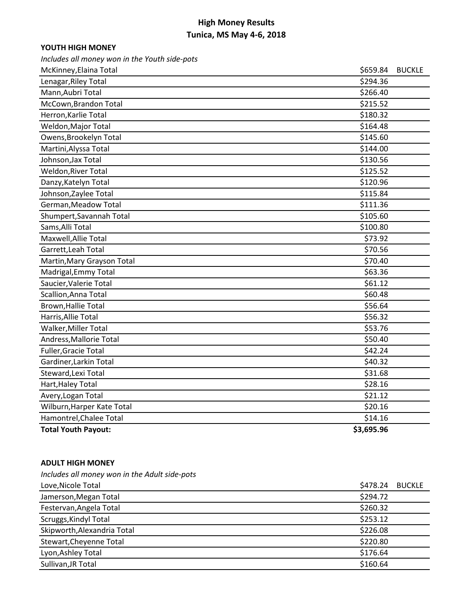### **YOUTH HIGH MONEY**

*Includes all money won in the Youth side-pots*

| McKinney, Elaina Total     | \$659.84<br><b>BUCKLE</b> |
|----------------------------|---------------------------|
| Lenagar, Riley Total       | \$294.36                  |
| Mann, Aubri Total          | \$266.40                  |
| McCown, Brandon Total      | \$215.52                  |
| Herron, Karlie Total       | \$180.32                  |
| Weldon, Major Total        | \$164.48                  |
| Owens, Brookelyn Total     | \$145.60                  |
| Martini, Alyssa Total      | \$144.00                  |
| Johnson, Jax Total         | \$130.56                  |
| Weldon, River Total        | \$125.52                  |
| Danzy, Katelyn Total       | \$120.96                  |
| Johnson, Zaylee Total      | \$115.84                  |
| German, Meadow Total       | \$111.36                  |
| Shumpert, Savannah Total   | \$105.60                  |
| Sams, Alli Total           | \$100.80                  |
| Maxwell, Allie Total       | \$73.92                   |
| Garrett, Leah Total        | \$70.56                   |
| Martin, Mary Grayson Total | \$70.40                   |
| Madrigal, Emmy Total       | \$63.36                   |
| Saucier, Valerie Total     | \$61.12                   |
| Scallion, Anna Total       | \$60.48                   |
| Brown, Hallie Total        | \$56.64                   |
| Harris, Allie Total        | \$56.32                   |
| Walker, Miller Total       | \$53.76                   |
| Andress, Mallorie Total    | \$50.40                   |
| Fuller, Gracie Total       | \$42.24                   |
| Gardiner, Larkin Total     | \$40.32                   |
| Steward, Lexi Total        | \$31.68                   |
| Hart, Haley Total          | \$28.16                   |
| Avery, Logan Total         | \$21.12                   |
| Wilburn, Harper Kate Total | \$20.16                   |
| Hamontrel, Chalee Total    | \$14.16                   |
| <b>Total Youth Payout:</b> | \$3,695.96                |

#### **ADULT HIGH MONEY**

*Includes all money won in the Adult side-pots*

| Love, Nicole Total          | \$478.24 | BUCKLE |
|-----------------------------|----------|--------|
| Jamerson, Megan Total       | \$294.72 |        |
| Festervan, Angela Total     | \$260.32 |        |
| Scruggs, Kindyl Total       | \$253.12 |        |
| Skipworth, Alexandria Total | \$226.08 |        |
| Stewart, Cheyenne Total     | \$220.80 |        |
| Lyon, Ashley Total          | \$176.64 |        |
| Sullivan, JR Total          | \$160.64 |        |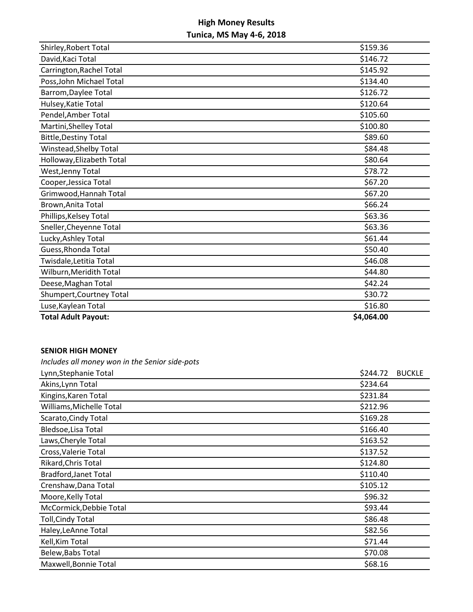| Shirley, Robert Total        | \$159.36   |
|------------------------------|------------|
| David, Kaci Total            | \$146.72   |
| Carrington, Rachel Total     | \$145.92   |
| Poss, John Michael Total     | \$134.40   |
| Barrom, Daylee Total         | \$126.72   |
| Hulsey, Katie Total          | \$120.64   |
| Pendel, Amber Total          | \$105.60   |
| Martini, Shelley Total       | \$100.80   |
| <b>Bittle, Destiny Total</b> | \$89.60    |
| Winstead, Shelby Total       | \$84.48    |
| Holloway, Elizabeth Total    | \$80.64    |
| West, Jenny Total            | \$78.72    |
| Cooper, Jessica Total        | \$67.20    |
| Grimwood, Hannah Total       | \$67.20    |
| Brown, Anita Total           | \$66.24    |
| Phillips, Kelsey Total       | \$63.36    |
| Sneller, Cheyenne Total      | \$63.36    |
| Lucky, Ashley Total          | \$61.44    |
| Guess, Rhonda Total          | \$50.40    |
| Twisdale, Letitia Total      | \$46.08    |
| Wilburn, Meridith Total      | \$44.80    |
| Deese, Maghan Total          | \$42.24    |
| Shumpert, Courtney Total     | \$30.72    |
| Luse, Kaylean Total          | \$16.80    |
| <b>Total Adult Payout:</b>   | \$4,064.00 |

### **SENIOR HIGH MONEY**

*Includes all money won in the Senior side-pots*

| \$244.72 | <b>BUCKLE</b> |
|----------|---------------|
| \$234.64 |               |
| \$231.84 |               |
| \$212.96 |               |
| \$169.28 |               |
| \$166.40 |               |
| \$163.52 |               |
| \$137.52 |               |
| \$124.80 |               |
| \$110.40 |               |
| \$105.12 |               |
| \$96.32  |               |
| \$93.44  |               |
| \$86.48  |               |
| \$82.56  |               |
| \$71.44  |               |
| \$70.08  |               |
| \$68.16  |               |
|          |               |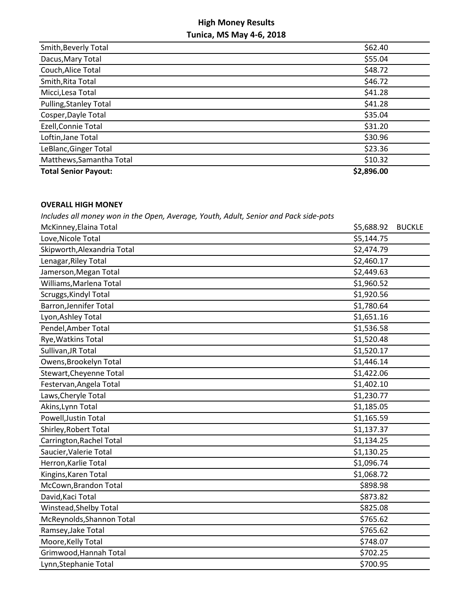| Smith, Beverly Total          | \$62.40    |
|-------------------------------|------------|
| Dacus, Mary Total             | \$55.04    |
| Couch, Alice Total            | \$48.72    |
| Smith, Rita Total             | \$46.72    |
| Micci, Lesa Total             | \$41.28    |
| <b>Pulling, Stanley Total</b> | \$41.28    |
| Cosper, Dayle Total           | \$35.04    |
| Ezell, Connie Total           | \$31.20    |
| Loftin, Jane Total            | \$30.96    |
| LeBlanc, Ginger Total         | \$23.36    |
| Matthews, Samantha Total      | \$10.32    |
| <b>Total Senior Payout:</b>   | \$2,896.00 |

### **OVERALL HIGH MONEY**

*Includes all money won in the Open, Average, Youth, Adult, Senior and Pack side-pots*

| McKinney, Elaina Total        | \$5,688.92 | <b>BUCKLE</b> |
|-------------------------------|------------|---------------|
| Love, Nicole Total            | \$5,144.75 |               |
| Skipworth, Alexandria Total   | \$2,474.79 |               |
| Lenagar, Riley Total          | \$2,460.17 |               |
| Jamerson, Megan Total         | \$2,449.63 |               |
| Williams, Marlena Total       | \$1,960.52 |               |
| Scruggs, Kindyl Total         | \$1,920.56 |               |
| <b>Barron, Jennifer Total</b> | \$1,780.64 |               |
| Lyon, Ashley Total            | \$1,651.16 |               |
| Pendel, Amber Total           | \$1,536.58 |               |
| Rye, Watkins Total            | \$1,520.48 |               |
| Sullivan, JR Total            | \$1,520.17 |               |
| Owens, Brookelyn Total        | \$1,446.14 |               |
| Stewart, Cheyenne Total       | \$1,422.06 |               |
| Festervan, Angela Total       | \$1,402.10 |               |
| Laws, Cheryle Total           | \$1,230.77 |               |
| Akins, Lynn Total             | \$1,185.05 |               |
| Powell, Justin Total          | \$1,165.59 |               |
| Shirley, Robert Total         | \$1,137.37 |               |
| Carrington, Rachel Total      | \$1,134.25 |               |
| Saucier, Valerie Total        | \$1,130.25 |               |
| Herron, Karlie Total          | \$1,096.74 |               |
| Kingins, Karen Total          | \$1,068.72 |               |
| McCown, Brandon Total         | \$898.98   |               |
| David, Kaci Total             | \$873.82   |               |
| Winstead, Shelby Total        | \$825.08   |               |
| McReynolds, Shannon Total     | \$765.62   |               |
| Ramsey, Jake Total            | \$765.62   |               |
| Moore, Kelly Total            | \$748.07   |               |
| Grimwood, Hannah Total        | \$702.25   |               |
| Lynn, Stephanie Total         | \$700.95   |               |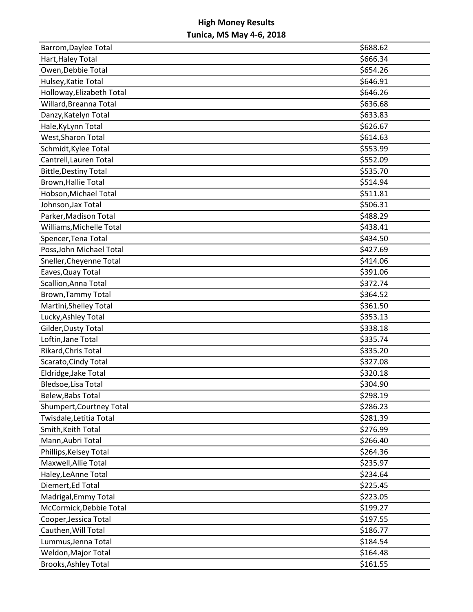| Barrom, Daylee Total         | \$688.62 |
|------------------------------|----------|
| Hart, Haley Total            | \$666.34 |
| Owen, Debbie Total           | \$654.26 |
| Hulsey, Katie Total          | \$646.91 |
| Holloway, Elizabeth Total    | \$646.26 |
| Willard, Breanna Total       | \$636.68 |
| Danzy, Katelyn Total         | \$633.83 |
| Hale, KyLynn Total           | \$626.67 |
| West, Sharon Total           | \$614.63 |
| Schmidt, Kylee Total         | \$553.99 |
| Cantrell, Lauren Total       | \$552.09 |
| <b>Bittle, Destiny Total</b> | \$535.70 |
| Brown, Hallie Total          | \$514.94 |
| Hobson, Michael Total        | \$511.81 |
| Johnson, Jax Total           | \$506.31 |
| Parker, Madison Total        | \$488.29 |
| Williams, Michelle Total     | \$438.41 |
| Spencer, Tena Total          | \$434.50 |
| Poss, John Michael Total     | \$427.69 |
| Sneller, Cheyenne Total      | \$414.06 |
| Eaves, Quay Total            | \$391.06 |
| Scallion, Anna Total         | \$372.74 |
| <b>Brown, Tammy Total</b>    | \$364.52 |
| Martini, Shelley Total       | \$361.50 |
| Lucky, Ashley Total          | \$353.13 |
| Gilder, Dusty Total          | \$338.18 |
| Loftin, Jane Total           | \$335.74 |
| Rikard, Chris Total          | \$335.20 |
| Scarato, Cindy Total         | \$327.08 |
| Eldridge, Jake Total         | \$320.18 |
| Bledsoe, Lisa Total          | \$304.90 |
| Belew, Babs Total            | \$298.19 |
| Shumpert, Courtney Total     | \$286.23 |
| Twisdale, Letitia Total      | \$281.39 |
| Smith, Keith Total           | \$276.99 |
| Mann, Aubri Total            | \$266.40 |
| Phillips, Kelsey Total       | \$264.36 |
| Maxwell, Allie Total         | \$235.97 |
| Haley, LeAnne Total          | \$234.64 |
| Diemert, Ed Total            | \$225.45 |
| Madrigal, Emmy Total         | \$223.05 |
| McCormick, Debbie Total      | \$199.27 |
| Cooper, Jessica Total        | \$197.55 |
| Cauthen, Will Total          | \$186.77 |
| Lummus, Jenna Total          | \$184.54 |
| Weldon, Major Total          | \$164.48 |
| Brooks, Ashley Total         | \$161.55 |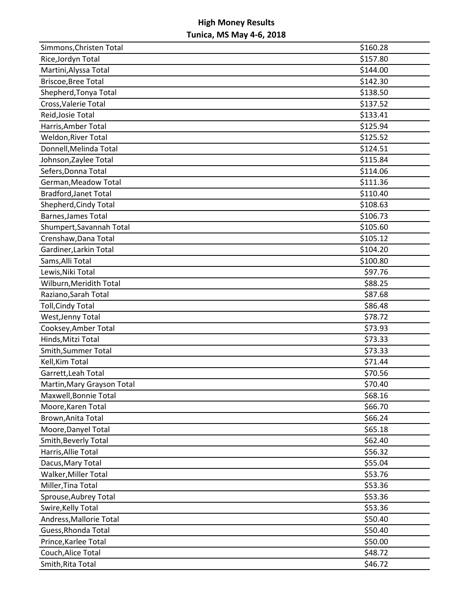| Simmons, Christen Total      | \$160.28 |
|------------------------------|----------|
| Rice, Jordyn Total           | \$157.80 |
| Martini, Alyssa Total        | \$144.00 |
| <b>Briscoe, Bree Total</b>   | \$142.30 |
| Shepherd, Tonya Total        | \$138.50 |
| Cross, Valerie Total         | \$137.52 |
| Reid, Josie Total            | \$133.41 |
| Harris, Amber Total          | \$125.94 |
| Weldon, River Total          | \$125.52 |
| Donnell, Melinda Total       | \$124.51 |
| Johnson, Zaylee Total        | \$115.84 |
| Sefers, Donna Total          | \$114.06 |
| German, Meadow Total         | \$111.36 |
| <b>Bradford, Janet Total</b> | \$110.40 |
| Shepherd, Cindy Total        | \$108.63 |
| <b>Barnes, James Total</b>   | \$106.73 |
| Shumpert, Savannah Total     | \$105.60 |
| Crenshaw, Dana Total         | \$105.12 |
| Gardiner, Larkin Total       | \$104.20 |
| Sams, Alli Total             | \$100.80 |
| Lewis, Niki Total            | \$97.76  |
| Wilburn, Meridith Total      | \$88.25  |
| Raziano, Sarah Total         | \$87.68  |
| <b>Toll, Cindy Total</b>     | \$86.48  |
| West, Jenny Total            | \$78.72  |
| Cooksey, Amber Total         | \$73.93  |
| Hinds, Mitzi Total           | \$73.33  |
| Smith, Summer Total          | \$73.33  |
| Kell, Kim Total              | \$71.44  |
| Garrett, Leah Total          | \$70.56  |
| Martin, Mary Grayson Total   | \$70.40  |
| Maxwell, Bonnie Total        | \$68.16  |
| Moore, Karen Total           | \$66.70  |
| Brown, Anita Total           | \$66.24  |
| Moore, Danyel Total          | \$65.18  |
| Smith, Beverly Total         | \$62.40  |
| Harris, Allie Total          | \$56.32  |
| Dacus, Mary Total            | \$55.04  |
| Walker, Miller Total         | \$53.76  |
| Miller, Tina Total           | \$53.36  |
| Sprouse, Aubrey Total        | \$53.36  |
| Swire, Kelly Total           | \$53.36  |
| Andress, Mallorie Total      | \$50.40  |
| Guess, Rhonda Total          | \$50.40  |
| Prince, Karlee Total         | \$50.00  |
| Couch, Alice Total           | \$48.72  |
| Smith, Rita Total            | \$46.72  |